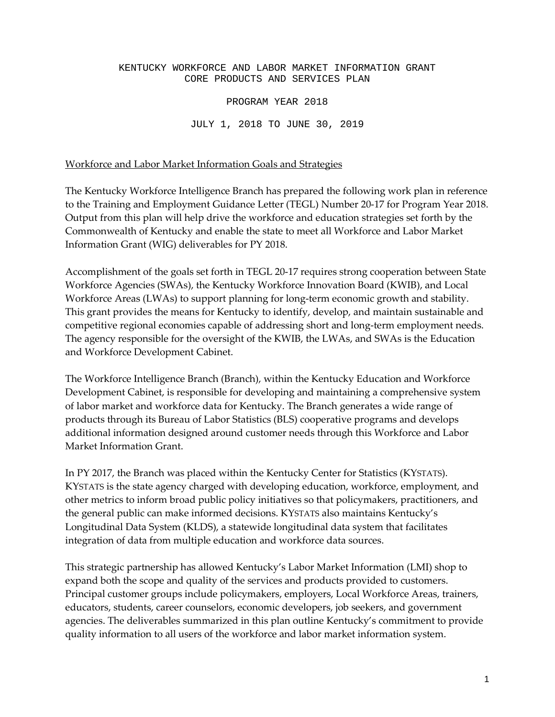# KENTUCKY WORKFORCE AND LABOR MARKET INFORMATION GRANT CORE PRODUCTS AND SERVICES PLAN PROGRAM YEAR 2018

JULY 1, 2018 TO JUNE 30, 2019

Workforce and Labor Market Information Goals and Strategies

The Kentucky Workforce Intelligence Branch has prepared the following work plan in reference to the Training and Employment Guidance Letter (TEGL) Number 20-17 for Program Year 2018. Output from this plan will help drive the workforce and education strategies set forth by the Commonwealth of Kentucky and enable the state to meet all Workforce and Labor Market Information Grant (WIG) deliverables for PY 2018.

Accomplishment of the goals set forth in TEGL 20-17 requires strong cooperation between State Workforce Agencies (SWAs), the Kentucky Workforce Innovation Board (KWIB), and Local Workforce Areas (LWAs) to support planning for long-term economic growth and stability. This grant provides the means for Kentucky to identify, develop, and maintain sustainable and competitive regional economies capable of addressing short and long-term employment needs. The agency responsible for the oversight of the KWIB, the LWAs, and SWAs is the Education and Workforce Development Cabinet.

The Workforce Intelligence Branch (Branch), within the Kentucky Education and Workforce Development Cabinet, is responsible for developing and maintaining a comprehensive system of labor market and workforce data for Kentucky. The Branch generates a wide range of products through its Bureau of Labor Statistics (BLS) cooperative programs and develops additional information designed around customer needs through this Workforce and Labor Market Information Grant.

In PY 2017, the Branch was placed within the Kentucky Center for Statistics (KYSTATS). KYSTATS is the state agency charged with developing education, workforce, employment, and other metrics to inform broad public policy initiatives so that policymakers, practitioners, and the general public can make informed decisions. KYSTATS also maintains Kentucky's Longitudinal Data System (KLDS), a statewide longitudinal data system that facilitates integration of data from multiple education and workforce data sources.

This strategic partnership has allowed Kentucky's Labor Market Information (LMI) shop to expand both the scope and quality of the services and products provided to customers. Principal customer groups include policymakers, employers, Local Workforce Areas, trainers, educators, students, career counselors, economic developers, job seekers, and government agencies. The deliverables summarized in this plan outline Kentucky's commitment to provide quality information to all users of the workforce and labor market information system.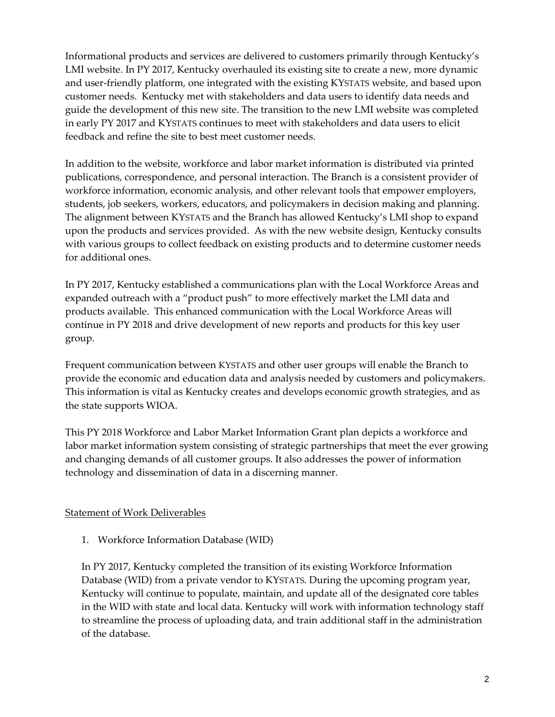Informational products and services are delivered to customers primarily through Kentucky's LMI website. In PY 2017, Kentucky overhauled its existing site to create a new, more dynamic and user-friendly platform, one integrated with the existing KYSTATS website, and based upon customer needs. Kentucky met with stakeholders and data users to identify data needs and guide the development of this new site. The transition to the new LMI website was completed in early PY 2017 and KYSTATS continues to meet with stakeholders and data users to elicit feedback and refine the site to best meet customer needs.

In addition to the website, workforce and labor market information is distributed via printed publications, correspondence, and personal interaction. The Branch is a consistent provider of workforce information, economic analysis, and other relevant tools that empower employers, students, job seekers, workers, educators, and policymakers in decision making and planning. The alignment between KYSTATS and the Branch has allowed Kentucky's LMI shop to expand upon the products and services provided. As with the new website design, Kentucky consults with various groups to collect feedback on existing products and to determine customer needs for additional ones.

In PY 2017, Kentucky established a communications plan with the Local Workforce Areas and expanded outreach with a "product push" to more effectively market the LMI data and products available. This enhanced communication with the Local Workforce Areas will continue in PY 2018 and drive development of new reports and products for this key user group.

Frequent communication between KYSTATS and other user groups will enable the Branch to provide the economic and education data and analysis needed by customers and policymakers. This information is vital as Kentucky creates and develops economic growth strategies, and as the state supports WIOA.

This PY 2018 Workforce and Labor Market Information Grant plan depicts a workforce and labor market information system consisting of strategic partnerships that meet the ever growing and changing demands of all customer groups. It also addresses the power of information technology and dissemination of data in a discerning manner.

#### Statement of Work Deliverables

1. Workforce Information Database (WID)

In PY 2017, Kentucky completed the transition of its existing Workforce Information Database (WID) from a private vendor to KYSTATS. During the upcoming program year, Kentucky will continue to populate, maintain, and update all of the designated core tables in the WID with state and local data. Kentucky will work with information technology staff to streamline the process of uploading data, and train additional staff in the administration of the database.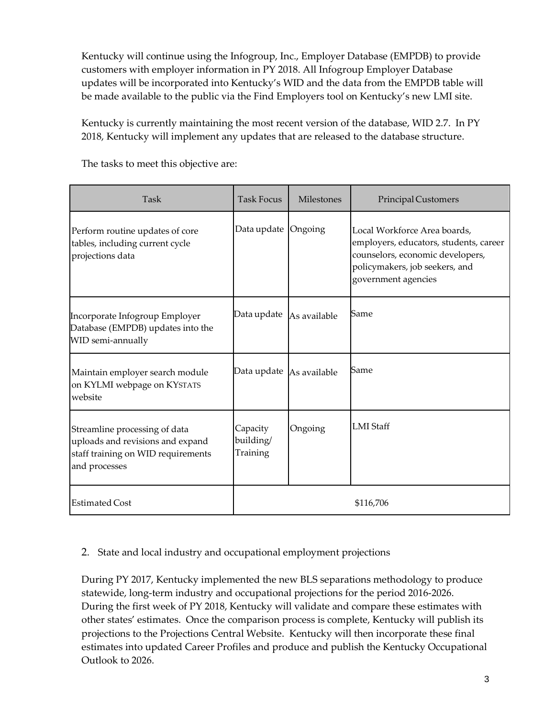Kentucky will continue using the Infogroup, Inc., Employer Database (EMPDB) to provide customers with employer information in PY 2018. All Infogroup Employer Database updates will be incorporated into Kentucky's WID and the data from the EMPDB table will be made available to the public via the Find Employers tool on Kentucky's new LMI site.

Kentucky is currently maintaining the most recent version of the database, WID 2.7. In PY 2018, Kentucky will implement any updates that are released to the database structure.

| Task                                                                                                                     | <b>Task Focus</b>                 | <b>Milestones</b> | Principal Customers                                                                                                                                                 |
|--------------------------------------------------------------------------------------------------------------------------|-----------------------------------|-------------------|---------------------------------------------------------------------------------------------------------------------------------------------------------------------|
| Perform routine updates of core<br>tables, including current cycle<br>projections data                                   | Data update                       | Ongoing           | Local Workforce Area boards,<br>employers, educators, students, career<br>counselors, economic developers,<br>policymakers, job seekers, and<br>government agencies |
| Incorporate Infogroup Employer<br>Database (EMPDB) updates into the<br>WID semi-annually                                 | Data update                       | As available      | Same                                                                                                                                                                |
| Maintain employer search module<br>on KYLMI webpage on KYSTATS<br>website                                                | Data update                       | As available      | Same                                                                                                                                                                |
| Streamline processing of data<br>uploads and revisions and expand<br>staff training on WID requirements<br>and processes | Capacity<br>building/<br>Training | Ongoing           | <b>LMI</b> Staff                                                                                                                                                    |
| <b>Estimated Cost</b>                                                                                                    |                                   |                   | \$116,706                                                                                                                                                           |

The tasks to meet this objective are:

### 2. State and local industry and occupational employment projections

During PY 2017, Kentucky implemented the new BLS separations methodology to produce statewide, long-term industry and occupational projections for the period 2016-2026. During the first week of PY 2018, Kentucky will validate and compare these estimates with other states' estimates. Once the comparison process is complete, Kentucky will publish its projections to the Projections Central Website. Kentucky will then incorporate these final estimates into updated Career Profiles and produce and publish the Kentucky Occupational Outlook to 2026.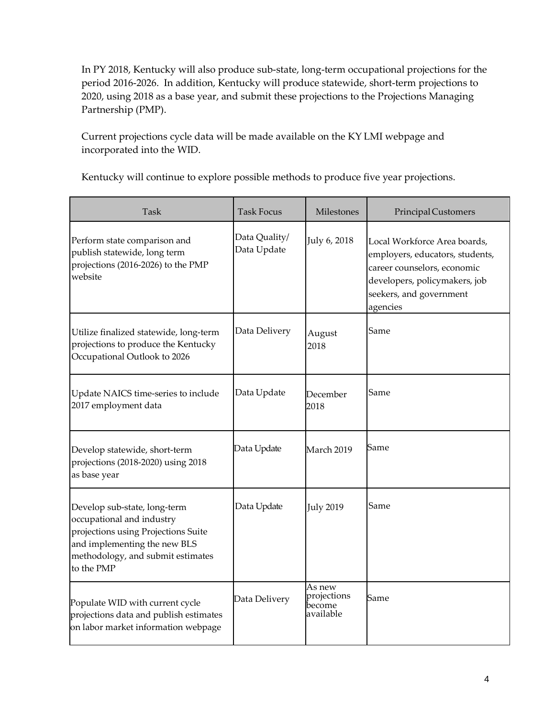In PY 2018, Kentucky will also produce sub-state, long-term occupational projections for the period 2016-2026. In addition, Kentucky will produce statewide, short-term projections to 2020, using 2018 as a base year, and submit these projections to the Projections Managing Partnership (PMP).

Current projections cycle data will be made available on the KY LMI webpage and incorporated into the WID.

Kentucky will continue to explore possible methods to produce five year projections.

| <b>Task</b>                                                                                                                                                                         | Task Focus                   | Milestones                                   | <b>Principal Customers</b>                                                                                                                                             |
|-------------------------------------------------------------------------------------------------------------------------------------------------------------------------------------|------------------------------|----------------------------------------------|------------------------------------------------------------------------------------------------------------------------------------------------------------------------|
| Perform state comparison and<br>publish statewide, long term<br>projections (2016-2026) to the PMP<br>website                                                                       | Data Quality/<br>Data Update | July 6, 2018                                 | Local Workforce Area boards,<br>employers, educators, students,<br>career counselors, economic<br>developers, policymakers, job<br>seekers, and government<br>agencies |
| Utilize finalized statewide, long-term<br>projections to produce the Kentucky<br>Occupational Outlook to 2026                                                                       | Data Delivery                | August<br>2018                               | Same                                                                                                                                                                   |
| Update NAICS time-series to include<br>2017 employment data                                                                                                                         | Data Update                  | December<br>2018                             | Same                                                                                                                                                                   |
| Develop statewide, short-term<br>projections (2018-2020) using 2018<br>as base year                                                                                                 | Data Update                  | March 2019                                   | Same                                                                                                                                                                   |
| Develop sub-state, long-term<br>occupational and industry<br>projections using Projections Suite<br>and implementing the new BLS<br>methodology, and submit estimates<br>to the PMP | Data Update                  | <b>July 2019</b>                             | Same                                                                                                                                                                   |
| Populate WID with current cycle<br>projections data and publish estimates<br>on labor market information webpage                                                                    | Data Delivery                | As new<br>projections<br>pecome<br>available | Same                                                                                                                                                                   |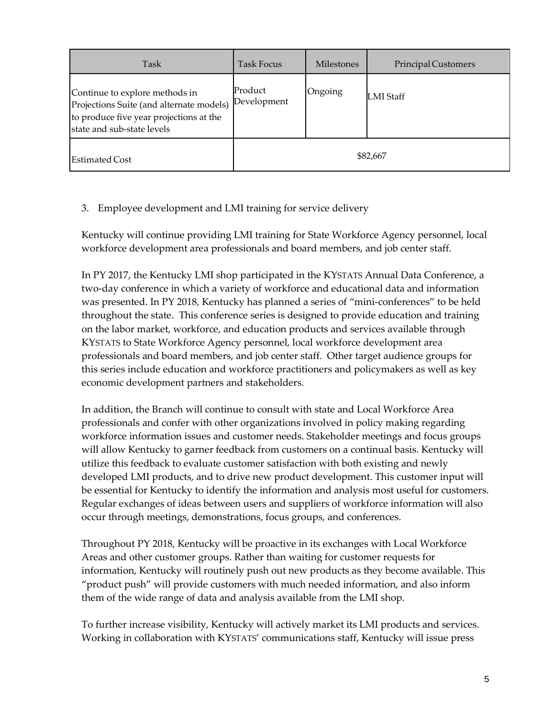| Task                                                                                                                                                | Task Focus             | <b>Milestones</b> | Principal Customers |
|-----------------------------------------------------------------------------------------------------------------------------------------------------|------------------------|-------------------|---------------------|
| Continue to explore methods in<br>Projections Suite (and alternate models)<br>to produce five year projections at the<br>state and sub-state levels | Product<br>Development | Ongoing           | <b>LMI</b> Staff    |
| <b>Estimated Cost</b>                                                                                                                               |                        |                   | \$82,667            |

#### 3. Employee development and LMI training for service delivery

Kentucky will continue providing LMI training for State Workforce Agency personnel, local workforce development area professionals and board members, and job center staff.

In PY 2017, the Kentucky LMI shop participated in the KYSTATS Annual Data Conference, a two-day conference in which a variety of workforce and educational data and information was presented. In PY 2018, Kentucky has planned a series of "mini-conferences" to be held throughout the state. This conference series is designed to provide education and training on the labor market, workforce, and education products and services available through KYSTATS to State Workforce Agency personnel, local workforce development area professionals and board members, and job center staff. Other target audience groups for this series include education and workforce practitioners and policymakers as well as key economic development partners and stakeholders.

In addition, the Branch will continue to consult with state and Local Workforce Area professionals and confer with other organizations involved in policy making regarding workforce information issues and customer needs. Stakeholder meetings and focus groups will allow Kentucky to garner feedback from customers on a continual basis. Kentucky will utilize this feedback to evaluate customer satisfaction with both existing and newly developed LMI products, and to drive new product development. This customer input will be essential for Kentucky to identify the information and analysis most useful for customers. Regular exchanges of ideas between users and suppliers of workforce information will also occur through meetings, demonstrations, focus groups, and conferences.

Throughout PY 2018, Kentucky will be proactive in its exchanges with Local Workforce Areas and other customer groups. Rather than waiting for customer requests for information, Kentucky will routinely push out new products as they become available. This "product push" will provide customers with much needed information, and also inform them of the wide range of data and analysis available from the LMI shop.

To further increase visibility, Kentucky will actively market its LMI products and services. Working in collaboration with KYSTATS' communications staff, Kentucky will issue press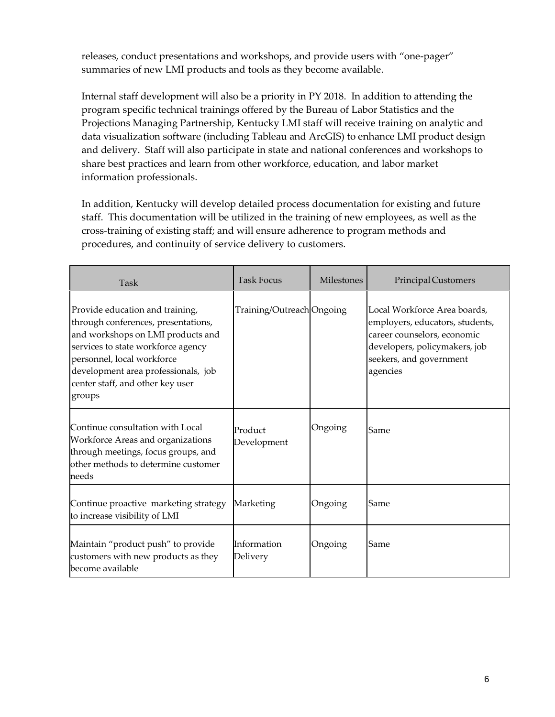releases, conduct presentations and workshops, and provide users with "one-pager" summaries of new LMI products and tools as they become available.

Internal staff development will also be a priority in PY 2018. In addition to attending the program specific technical trainings offered by the Bureau of Labor Statistics and the Projections Managing Partnership, Kentucky LMI staff will receive training on analytic and data visualization software (including Tableau and ArcGIS) to enhance LMI product design and delivery. Staff will also participate in state and national conferences and workshops to share best practices and learn from other workforce, education, and labor market information professionals.

In addition, Kentucky will develop detailed process documentation for existing and future staff. This documentation will be utilized in the training of new employees, as well as the cross-training of existing staff; and will ensure adherence to program methods and procedures, and continuity of service delivery to customers.

| Task                                                                                                                                                                                                                                                                 | <b>Task Focus</b>         | Milestones | <b>Principal Customers</b>                                                                                                                                             |
|----------------------------------------------------------------------------------------------------------------------------------------------------------------------------------------------------------------------------------------------------------------------|---------------------------|------------|------------------------------------------------------------------------------------------------------------------------------------------------------------------------|
| Provide education and training,<br>through conferences, presentations,<br>and workshops on LMI products and<br>services to state workforce agency<br>personnel, local workforce<br>development area professionals, job<br>center staff, and other key user<br>groups | Training/Outreach Ongoing |            | Local Workforce Area boards,<br>employers, educators, students,<br>career counselors, economic<br>developers, policymakers, job<br>seekers, and government<br>agencies |
| Continue consultation with Local<br>Workforce Areas and organizations<br>through meetings, focus groups, and<br>other methods to determine customer<br>needs                                                                                                         | Product<br>Development    | Ongoing    | Same                                                                                                                                                                   |
| Continue proactive marketing strategy<br>to increase visibility of LMI                                                                                                                                                                                               | Marketing                 | Ongoing    | Same                                                                                                                                                                   |
| Maintain "product push" to provide<br>customers with new products as they<br>become available                                                                                                                                                                        | Information<br>Delivery   | Ongoing    | Same                                                                                                                                                                   |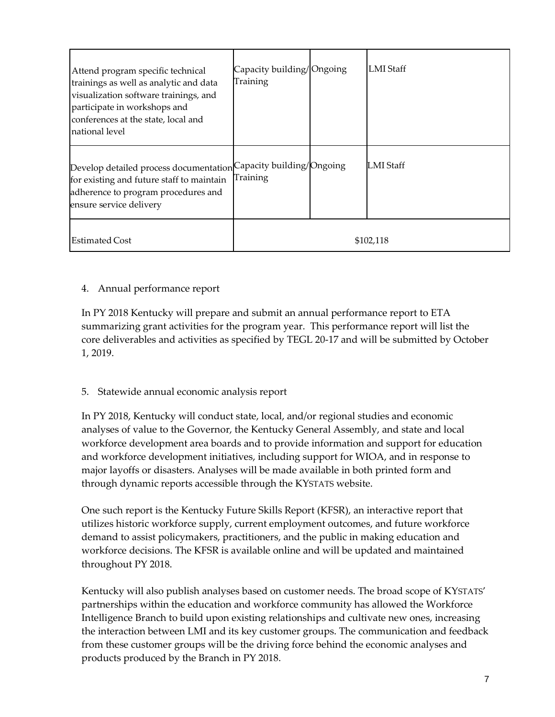| Attend program specific technical<br>trainings as well as analytic and data<br>visualization software trainings, and<br>participate in workshops and<br>conferences at the state, local and<br>national level | Capacity building/Ongoing<br>Training | <b>LMI</b> Staff |
|---------------------------------------------------------------------------------------------------------------------------------------------------------------------------------------------------------------|---------------------------------------|------------------|
| Develop detailed process documentation Capacity building/Ongoing<br>for existing and future staff to maintain<br>adherence to program procedures and<br>ensure service delivery                               | Training                              | LMI Staff        |
| <b>Estimated Cost</b>                                                                                                                                                                                         |                                       | \$102,118        |

#### 4. Annual performance report

In PY 2018 Kentucky will prepare and submit an annual performance report to ETA summarizing grant activities for the program year. This performance report will list the core deliverables and activities as specified by TEGL 20-17 and will be submitted by October 1, 2019.

#### 5. Statewide annual economic analysis report

In PY 2018, Kentucky will conduct state, local, and/or regional studies and economic analyses of value to the Governor, the Kentucky General Assembly, and state and local workforce development area boards and to provide information and support for education and workforce development initiatives, including support for WIOA, and in response to major layoffs or disasters. Analyses will be made available in both printed form and through dynamic reports accessible through the KYSTATS website.

One such report is the Kentucky Future Skills Report (KFSR), an interactive report that utilizes historic workforce supply, current employment outcomes, and future workforce demand to assist policymakers, practitioners, and the public in making education and workforce decisions. The KFSR is available online and will be updated and maintained throughout PY 2018.

Kentucky will also publish analyses based on customer needs. The broad scope of KYSTATS' partnerships within the education and workforce community has allowed the Workforce Intelligence Branch to build upon existing relationships and cultivate new ones, increasing the interaction between LMI and its key customer groups. The communication and feedback from these customer groups will be the driving force behind the economic analyses and products produced by the Branch in PY 2018.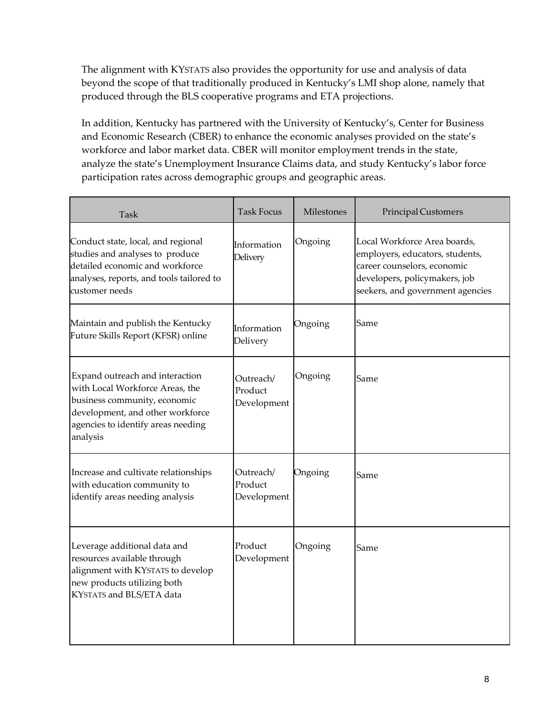The alignment with KYSTATS also provides the opportunity for use and analysis of data beyond the scope of that traditionally produced in Kentucky's LMI shop alone, namely that produced through the BLS cooperative programs and ETA projections.

In addition, Kentucky has partnered with the University of Kentucky's, Center for Business and Economic Research (CBER) to enhance the economic analyses provided on the state's workforce and labor market data. CBER will monitor employment trends in the state, analyze the state's Unemployment Insurance Claims data, and study Kentucky's labor force participation rates across demographic groups and geographic areas.

| Task                                                                                                                                                                                     | <b>Task Focus</b>                   | Milestones | Principal Customers                                                                                                                                                 |
|------------------------------------------------------------------------------------------------------------------------------------------------------------------------------------------|-------------------------------------|------------|---------------------------------------------------------------------------------------------------------------------------------------------------------------------|
| Conduct state, local, and regional<br>studies and analyses to produce<br>detailed economic and workforce<br>analyses, reports, and tools tailored to<br>customer needs                   | Information<br><b>Delivery</b>      | Ongoing    | Local Workforce Area boards,<br>employers, educators, students,<br>career counselors, economic<br>developers, policymakers, job<br>seekers, and government agencies |
| Maintain and publish the Kentucky<br>Future Skills Report (KFSR) online                                                                                                                  | Information<br>Delivery             | Ongoing    | Same                                                                                                                                                                |
| Expand outreach and interaction<br>with Local Workforce Areas, the<br>business community, economic<br>development, and other workforce<br>agencies to identify areas needing<br>analysis | Outreach/<br>Product<br>Development | Ongoing    | Same                                                                                                                                                                |
| Increase and cultivate relationships<br>with education community to<br>identify areas needing analysis                                                                                   | Outreach/<br>Product<br>Development | Ongoing    | Same                                                                                                                                                                |
| Leverage additional data and<br>resources available through<br>alignment with KYSTATS to develop<br>new products utilizing both<br>KYSTATS and BLS/ETA data                              | Product<br>Development              | Ongoing    | Same                                                                                                                                                                |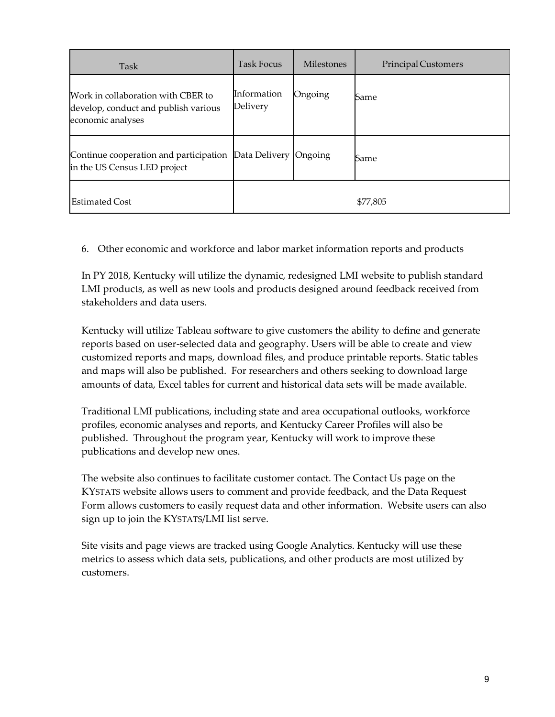| Task                                                                                            | Task Focus              | <b>Milestones</b> | Principal Customers |
|-------------------------------------------------------------------------------------------------|-------------------------|-------------------|---------------------|
| Work in collaboration with CBER to<br>develop, conduct and publish various<br>economic analyses | Information<br>Delivery | Ongoing           | Same                |
| Continue cooperation and participation<br>in the US Census LED project                          | Data Delivery Ongoing   |                   | Same                |
| <b>Estimated Cost</b>                                                                           |                         |                   | \$77,805            |

6. Other economic and workforce and labor market information reports and products

In PY 2018, Kentucky will utilize the dynamic, redesigned LMI website to publish standard LMI products, as well as new tools and products designed around feedback received from stakeholders and data users.

Kentucky will utilize Tableau software to give customers the ability to define and generate reports based on user-selected data and geography. Users will be able to create and view customized reports and maps, download files, and produce printable reports. Static tables and maps will also be published. For researchers and others seeking to download large amounts of data, Excel tables for current and historical data sets will be made available.

Traditional LMI publications, including state and area occupational outlooks, workforce profiles, economic analyses and reports, and Kentucky Career Profiles will also be published. Throughout the program year, Kentucky will work to improve these publications and develop new ones.

The website also continues to facilitate customer contact. The Contact Us page on the KYSTATS website allows users to comment and provide feedback, and the Data Request Form allows customers to easily request data and other information. Website users can also sign up to join the KYSTATS/LMI list serve.

Site visits and page views are tracked using Google Analytics. Kentucky will use these metrics to assess which data sets, publications, and other products are most utilized by customers.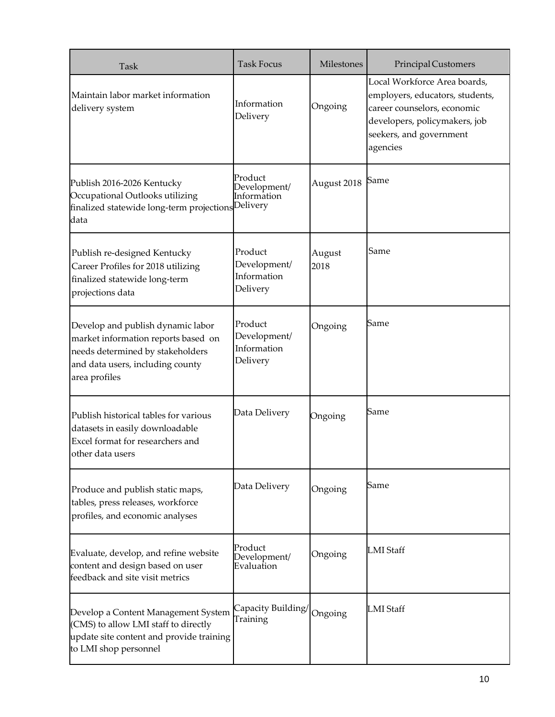| Task                                                                                                                                                              | <b>Task Focus</b>                                  | Milestones     | Principal Customers                                                                                                                                                    |
|-------------------------------------------------------------------------------------------------------------------------------------------------------------------|----------------------------------------------------|----------------|------------------------------------------------------------------------------------------------------------------------------------------------------------------------|
| Maintain labor market information<br>delivery system                                                                                                              | Information<br>Delivery                            | Ongoing        | Local Workforce Area boards,<br>employers, educators, students,<br>career counselors, economic<br>developers, policymakers, job<br>seekers, and government<br>agencies |
| Publish 2016-2026 Kentucky<br>Occupational Outlooks utilizing<br>finalized statewide long-term projections Delivery<br>data                                       | Product<br>Development/<br>Information             | August 2018    | Same                                                                                                                                                                   |
| Publish re-designed Kentucky<br>Career Profiles for 2018 utilizing<br>finalized statewide long-term<br>projections data                                           | Product<br>Development/<br>Information<br>Delivery | August<br>2018 | Same                                                                                                                                                                   |
| Develop and publish dynamic labor<br>market information reports based on<br>needs determined by stakeholders<br>and data users, including county<br>area profiles | Product<br>Development/<br>Information<br>Delivery | Ongoing        | Same                                                                                                                                                                   |
| Publish historical tables for various<br>datasets in easily downloadable<br>Excel format for researchers and<br>other data users                                  | Data Delivery                                      | Ongoing        | Same                                                                                                                                                                   |
| Produce and publish static maps,<br>tables, press releases, workforce<br>profiles, and economic analyses                                                          | Data Delivery                                      | Ongoing        | Same                                                                                                                                                                   |
| Evaluate, develop, and refine website<br>content and design based on user<br>feedback and site visit metrics                                                      | Product<br>Development/<br>Evaluation              | Ongoing        | <b>LMI</b> Staff                                                                                                                                                       |
| Develop a Content Management System<br>(CMS) to allow LMI staff to directly<br>update site content and provide training<br>to LMI shop personnel                  | Capacity Building/<br>Training                     | Ongoing        | <b>LMI</b> Staff                                                                                                                                                       |